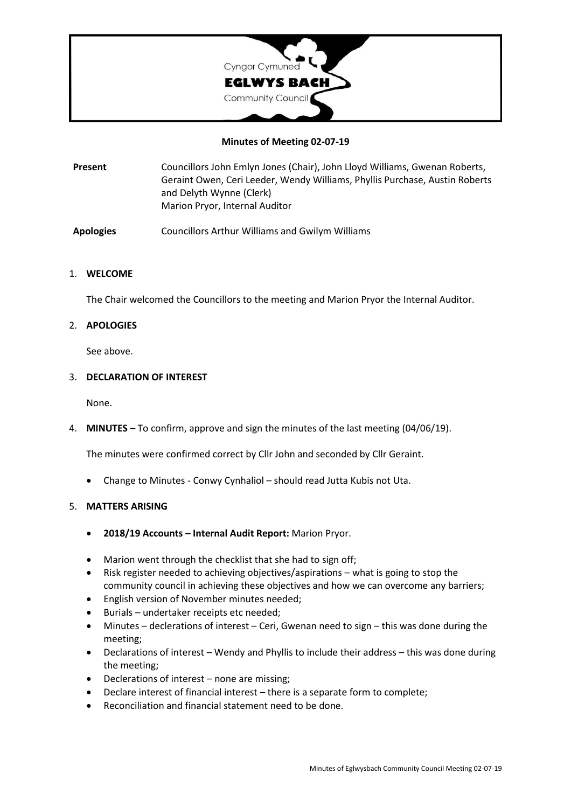

### **Minutes of Meeting 02-07-19**

**Present** Councillors John Emlyn Jones (Chair), John Lloyd Williams, Gwenan Roberts, Geraint Owen, Ceri Leeder, Wendy Williams, Phyllis Purchase, Austin Roberts and Delyth Wynne (Clerk) Marion Pryor, Internal Auditor

**Apologies** Councillors Arthur Williams and Gwilym Williams

#### 1. **WELCOME**

The Chair welcomed the Councillors to the meeting and Marion Pryor the Internal Auditor.

## 2. **APOLOGIES**

See above.

#### 3. **DECLARATION OF INTEREST**

None.

4. **MINUTES** – To confirm, approve and sign the minutes of the last meeting (04/06/19).

The minutes were confirmed correct by Cllr John and seconded by Cllr Geraint.

• Change to Minutes - Conwy Cynhaliol – should read Jutta Kubis not Uta.

#### 5. **MATTERS ARISING**

- **2018/19 Accounts – Internal Audit Report:** Marion Pryor.
- Marion went through the checklist that she had to sign off;
- Risk register needed to achieving objectives/aspirations what is going to stop the community council in achieving these objectives and how we can overcome any barriers;
- English version of November minutes needed;
- Burials undertaker receipts etc needed;
- Minutes declerations of interest Ceri, Gwenan need to sign this was done during the meeting;
- Declarations of interest Wendy and Phyllis to include their address this was done during the meeting;
- Declerations of interest none are missing;
- Declare interest of financial interest there is a separate form to complete;
- Reconciliation and financial statement need to be done.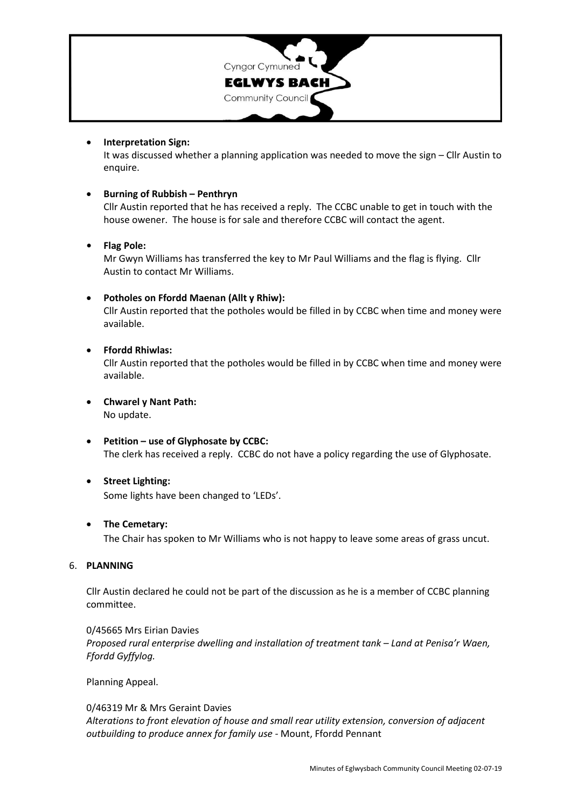

## • **Interpretation Sign:**

It was discussed whether a planning application was needed to move the sign – Cllr Austin to enquire.

## • **Burning of Rubbish – Penthryn**

Cllr Austin reported that he has received a reply. The CCBC unable to get in touch with the house owener. The house is for sale and therefore CCBC will contact the agent.

## **• Flag Pole:**

Mr Gwyn Williams has transferred the key to Mr Paul Williams and the flag is flying. Cllr Austin to contact Mr Williams.

## • **Potholes on Ffordd Maenan (Allt y Rhiw):**

Cllr Austin reported that the potholes would be filled in by CCBC when time and money were available.

## • **Ffordd Rhiwlas:**

Cllr Austin reported that the potholes would be filled in by CCBC when time and money were available.

- **Chwarel y Nant Path:** No update.
- **Petition – use of Glyphosate by CCBC:** The clerk has received a reply. CCBC do not have a policy regarding the use of Glyphosate.

#### • **Street Lighting:**

Some lights have been changed to 'LEDs'.

#### • **The Cemetary:**

The Chair has spoken to Mr Williams who is not happy to leave some areas of grass uncut.

#### 6. **PLANNING**

Cllr Austin declared he could not be part of the discussion as he is a member of CCBC planning committee.

0/45665 Mrs Eirian Davies *Proposed rural enterprise dwelling and installation of treatment tank – Land at Penisa'r Waen, Ffordd Gyffylog.*

Planning Appeal.

0/46319 Mr & Mrs Geraint Davies *Alterations to front elevation of house and small rear utility extension, conversion of adjacent outbuilding to produce annex for family use -* Mount, Ffordd Pennant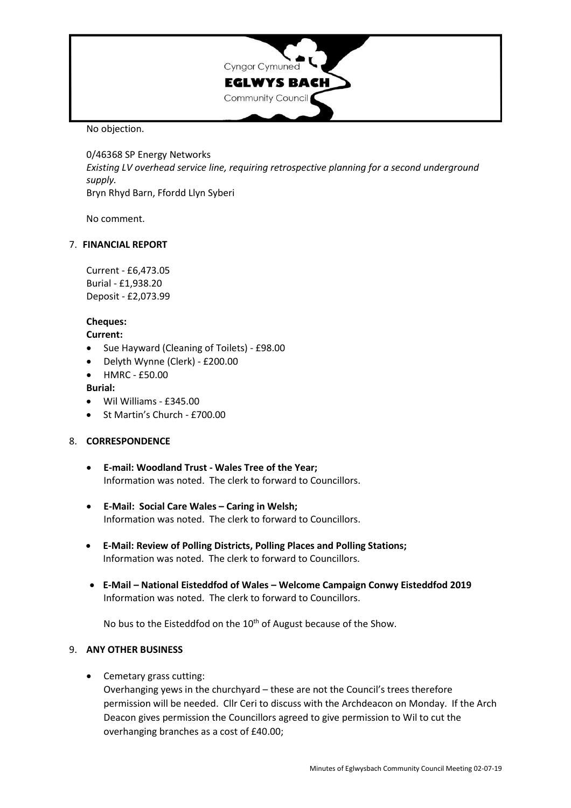

No objection.

0/46368 SP Energy Networks *Existing LV overhead service line, requiring retrospective planning for a second underground supply.* Bryn Rhyd Barn, Ffordd Llyn Syberi

No comment.

#### 7. **FINANCIAL REPORT**

Current - £6,473.05 Burial - £1,938.20 Deposit - £2,073.99

## **Cheques:**

#### **Current:**

- Sue Hayward (Cleaning of Toilets) £98.00
- Delyth Wynne (Clerk) £200.00
- HMRC £50.00

#### **Burial:**

- Wil Williams £345.00
- St Martin's Church £700.00

#### 8. **CORRESPONDENCE**

- **E-mail: Woodland Trust - Wales Tree of the Year;** Information was noted. The clerk to forward to Councillors.
- **E-Mail: Social Care Wales – Caring in Welsh;** Information was noted. The clerk to forward to Councillors.
- **E-Mail: Review of Polling Districts, Polling Places and Polling Stations;** Information was noted. The clerk to forward to Councillors.
- **E-Mail – National Eisteddfod of Wales – Welcome Campaign Conwy Eisteddfod 2019** Information was noted. The clerk to forward to Councillors.

No bus to the Eisteddfod on the 10<sup>th</sup> of August because of the Show.

#### 9. **ANY OTHER BUSINESS**

• Cemetary grass cutting:

Overhanging yews in the churchyard – these are not the Council's trees therefore permission will be needed. Cllr Ceri to discuss with the Archdeacon on Monday. If the Arch Deacon gives permission the Councillors agreed to give permission to Wil to cut the overhanging branches as a cost of £40.00;